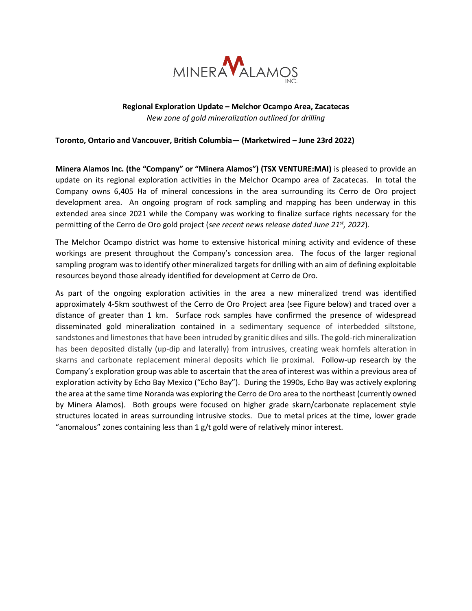

# **Regional Exploration Update – Melchor Ocampo Area, Zacatecas** *New zone of gold mineralization outlined for drilling*

# **Toronto, Ontario and Vancouver, British Columbia— (Marketwired – June 23rd 2022)**

**Minera Alamos Inc. (the "Company" or "Minera Alamos") (TSX VENTURE:MAI)** is pleased to provide an update on its regional exploration activities in the Melchor Ocampo area of Zacatecas. In total the Company owns 6,405 Ha of mineral concessions in the area surrounding its Cerro de Oro project development area. An ongoing program of rock sampling and mapping has been underway in this extended area since 2021 while the Company was working to finalize surface rights necessary for the permitting of the Cerro de Oro gold project (*see recent news release dated June 21st, 2022*).

The Melchor Ocampo district was home to extensive historical mining activity and evidence of these workings are present throughout the Company's concession area. The focus of the larger regional sampling program was to identify other mineralized targets for drilling with an aim of defining exploitable resources beyond those already identified for development at Cerro de Oro.

As part of the ongoing exploration activities in the area a new mineralized trend was identified approximately 4-5km southwest of the Cerro de Oro Project area (see Figure below) and traced over a distance of greater than 1 km. Surface rock samples have confirmed the presence of widespread disseminated gold mineralization contained in a sedimentary sequence of interbedded siltstone, sandstones and limestones that have been intruded by granitic dikes and sills. The gold-rich mineralization has been deposited distally (up-dip and laterally) from intrusives, creating weak hornfels alteration in skarns and carbonate replacement mineral deposits which lie proximal. Follow-up research by the Company's exploration group was able to ascertain that the area of interest was within a previous area of exploration activity by Echo Bay Mexico ("Echo Bay"). During the 1990s, Echo Bay was actively exploring the area at the same time Noranda was exploring the Cerro de Oro area to the northeast (currently owned by Minera Alamos). Both groups were focused on higher grade skarn/carbonate replacement style structures located in areas surrounding intrusive stocks. Due to metal prices at the time, lower grade "anomalous" zones containing less than 1 g/t gold were of relatively minor interest.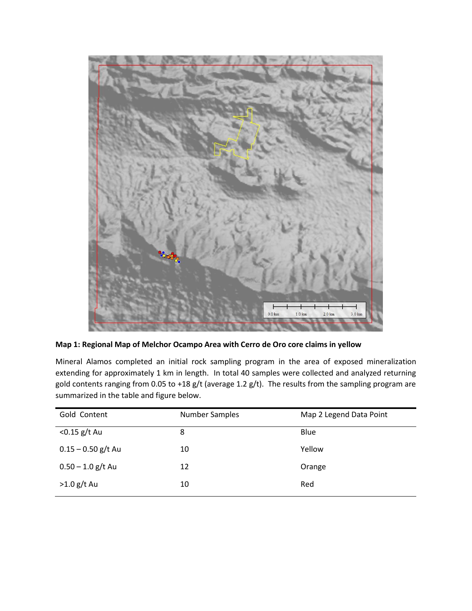

**Map 1: Regional Map of Melchor Ocampo Area with Cerro de Oro core claims in yellow** 

Mineral Alamos completed an initial rock sampling program in the area of exposed mineralization extending for approximately 1 km in length. In total 40 samples were collected and analyzed returning gold contents ranging from 0.05 to +18 g/t (average 1.2 g/t). The results from the sampling program are summarized in the table and figure below.

| Gold Content         | <b>Number Samples</b> | Map 2 Legend Data Point |
|----------------------|-----------------------|-------------------------|
| $<$ 0.15 g/t Au      | 8                     | Blue                    |
| $0.15 - 0.50$ g/t Au | 10                    | Yellow                  |
| $0.50 - 1.0$ g/t Au  | 12                    | Orange                  |
| $>1.0$ g/t Au        | 10                    | Red                     |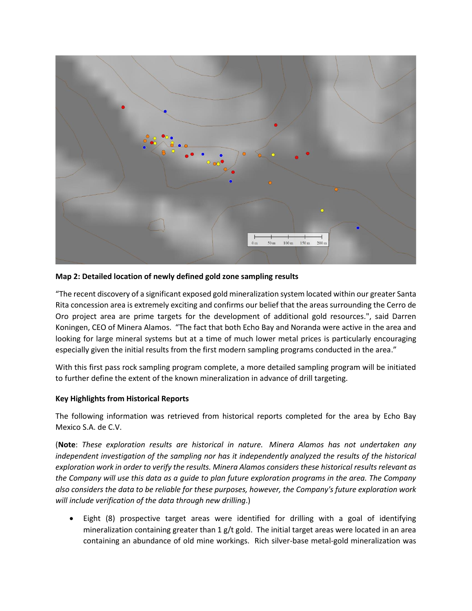

#### **Map 2: Detailed location of newly defined gold zone sampling results**

"The recent discovery of a significant exposed gold mineralization system located within our greater Santa Rita concession area is extremely exciting and confirms our belief that the areas surrounding the Cerro de Oro project area are prime targets for the development of additional gold resources.", said Darren Koningen, CEO of Minera Alamos. "The fact that both Echo Bay and Noranda were active in the area and looking for large mineral systems but at a time of much lower metal prices is particularly encouraging especially given the initial results from the first modern sampling programs conducted in the area."

With this first pass rock sampling program complete, a more detailed sampling program will be initiated to further define the extent of the known mineralization in advance of drill targeting.

## **Key Highlights from Historical Reports**

The following information was retrieved from historical reports completed for the area by Echo Bay Mexico S.A. de C.V.

(**Note**: *These exploration results are historical in nature. Minera Alamos has not undertaken any independent investigation of the sampling nor has it independently analyzed the results of the historical exploration work in order to verify the results. Minera Alamos considers these historical results relevant as the Company will use this data as a guide to plan future exploration programs in the area. The Company also considers the data to be reliable for these purposes, however, the Company's future exploration work will include verification of the data through new drilling*.)

• Eight (8) prospective target areas were identified for drilling with a goal of identifying mineralization containing greater than  $1 g/t$  gold. The initial target areas were located in an area containing an abundance of old mine workings. Rich silver-base metal-gold mineralization was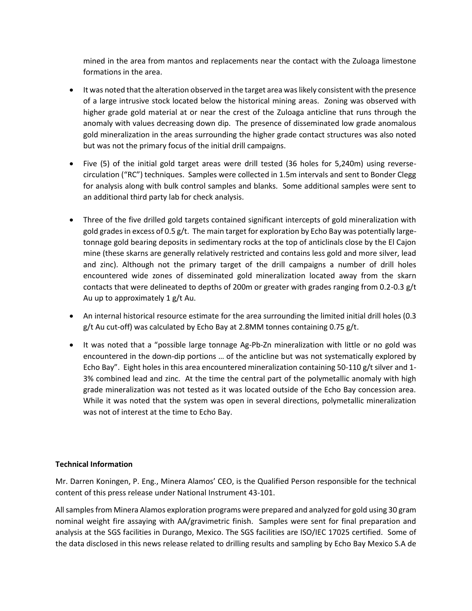mined in the area from mantos and replacements near the contact with the Zuloaga limestone formations in the area.

- It was noted that the alteration observed in the target area was likely consistent with the presence of a large intrusive stock located below the historical mining areas. Zoning was observed with higher grade gold material at or near the crest of the Zuloaga anticline that runs through the anomaly with values decreasing down dip. The presence of disseminated low grade anomalous gold mineralization in the areas surrounding the higher grade contact structures was also noted but was not the primary focus of the initial drill campaigns.
- Five (5) of the initial gold target areas were drill tested (36 holes for 5,240m) using reversecirculation ("RC") techniques. Samples were collected in 1.5m intervals and sent to Bonder Clegg for analysis along with bulk control samples and blanks. Some additional samples were sent to an additional third party lab for check analysis.
- Three of the five drilled gold targets contained significant intercepts of gold mineralization with gold grades in excess of 0.5 g/t. The main target for exploration by Echo Bay was potentially largetonnage gold bearing deposits in sedimentary rocks at the top of anticlinals close by the El Cajon mine (these skarns are generally relatively restricted and contains less gold and more silver, lead and zinc). Although not the primary target of the drill campaigns a number of drill holes encountered wide zones of disseminated gold mineralization located away from the skarn contacts that were delineated to depths of 200m or greater with grades ranging from 0.2-0.3 g/t Au up to approximately 1 g/t Au.
- An internal historical resource estimate for the area surrounding the limited initial drill holes (0.3 g/t Au cut-off) was calculated by Echo Bay at 2.8MM tonnes containing 0.75 g/t.
- It was noted that a "possible large tonnage Ag-Pb-Zn mineralization with little or no gold was encountered in the down-dip portions … of the anticline but was not systematically explored by Echo Bay". Eight holes in this area encountered mineralization containing 50-110 g/t silver and 1- 3% combined lead and zinc. At the time the central part of the polymetallic anomaly with high grade mineralization was not tested as it was located outside of the Echo Bay concession area. While it was noted that the system was open in several directions, polymetallic mineralization was not of interest at the time to Echo Bay.

## **Technical Information**

Mr. Darren Koningen, P. Eng., Minera Alamos' CEO, is the Qualified Person responsible for the technical content of this press release under National Instrument 43-101.

All samples from Minera Alamos exploration programs were prepared and analyzed for gold using 30 gram nominal weight fire assaying with AA/gravimetric finish. Samples were sent for final preparation and analysis at the SGS facilities in Durango, Mexico. The SGS facilities are ISO/IEC 17025 certified. Some of the data disclosed in this news release related to drilling results and sampling by Echo Bay Mexico S.A de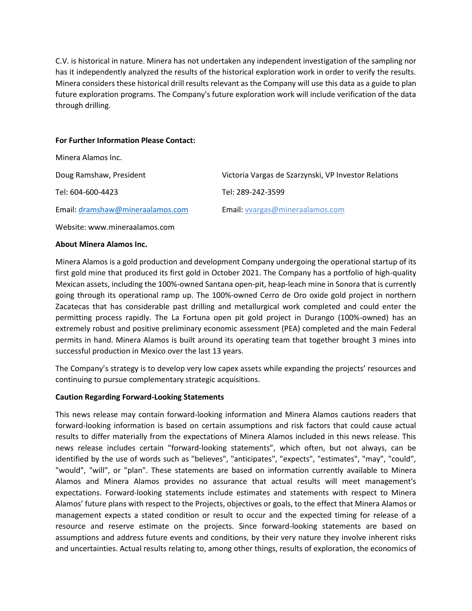C.V. is historical in nature. Minera has not undertaken any independent investigation of the sampling nor has it independently analyzed the results of the historical exploration work in order to verify the results. Minera considers these historical drill results relevant as the Company will use this data as a guide to plan future exploration programs. The Company's future exploration work will include verification of the data through drilling.

#### **For Further Information Please Contact:**

| Minera Alamos Inc.               |                                                      |
|----------------------------------|------------------------------------------------------|
| Doug Ramshaw, President          | Victoria Vargas de Szarzynski, VP Investor Relations |
| Tel: 604-600-4423                | Tel: 289-242-3599                                    |
| Email: dramshaw@mineraalamos.com | Email: vvargas@mineraalamos.com                      |

Website: www.mineraalamos.com

#### **About Minera Alamos Inc.**

Minera Alamos is a gold production and development Company undergoing the operational startup of its first gold mine that produced its first gold in October 2021. The Company has a portfolio of high-quality Mexican assets, including the 100%-owned Santana open-pit, heap-leach mine in Sonora that is currently going through its operational ramp up. The 100%-owned Cerro de Oro oxide gold project in northern Zacatecas that has considerable past drilling and metallurgical work completed and could enter the permitting process rapidly. The La Fortuna open pit gold project in Durango (100%-owned) has an extremely robust and positive preliminary economic assessment (PEA) completed and the main Federal permits in hand. Minera Alamos is built around its operating team that together brought 3 mines into successful production in Mexico over the last 13 years.

The Company's strategy is to develop very low capex assets while expanding the projects' resources and continuing to pursue complementary strategic acquisitions.

## **Caution Regarding Forward-Looking Statements**

This news release may contain forward-looking information and Minera Alamos cautions readers that forward-looking information is based on certain assumptions and risk factors that could cause actual results to differ materially from the expectations of Minera Alamos included in this news release. This news release includes certain "forward-looking statements", which often, but not always, can be identified by the use of words such as "believes", "anticipates", "expects", "estimates", "may", "could", "would", "will", or "plan". These statements are based on information currently available to Minera Alamos and Minera Alamos provides no assurance that actual results will meet management's expectations. Forward-looking statements include estimates and statements with respect to Minera Alamos' future plans with respect to the Projects, objectives or goals, to the effect that Minera Alamos or management expects a stated condition or result to occur and the expected timing for release of a resource and reserve estimate on the projects. Since forward-looking statements are based on assumptions and address future events and conditions, by their very nature they involve inherent risks and uncertainties. Actual results relating to, among other things, results of exploration, the economics of